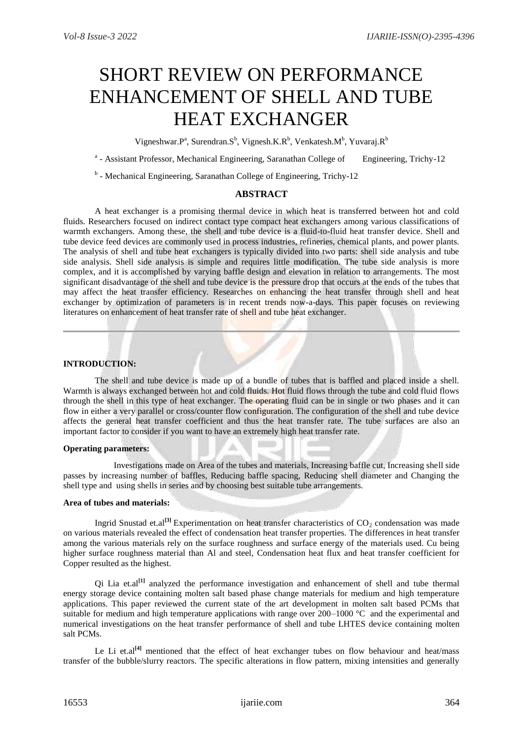# SHORT REVIEW ON PERFORMANCE ENHANCEMENT OF SHELL AND TUBE HEAT EXCHANGER

Vigneshwar. $P^a$ , Surendran. $S^b$ , Vignesh.K.R<sup>b</sup>, Venkatesh.M<sup>b</sup>, Yuvaraj.R<sup>b</sup>

<sup>a</sup> - Assistant Professor, Mechanical Engineering, Saranathan College of Engineering, Trichy-12

<sup>b</sup> - Mechanical Engineering, Saranathan College of Engineering, Trichy-12

## **ABSTRACT**

A heat exchanger is a promising thermal device in which heat is transferred between hot and cold fluids. Researchers focused on indirect contact type compact heat exchangers among various classifications of warmth exchangers. Among these, the shell and tube device is a fluid-to-fluid heat transfer device. Shell and tube device feed devices are commonly used in process industries, refineries, chemical plants, and power plants. The analysis of shell and tube heat exchangers is typically divided into two parts: shell side analysis and tube side analysis. Shell side analysis is simple and requires little modification. The tube side analysis is more complex, and it is accomplished by varying baffle design and elevation in relation to arrangements. The most significant disadvantage of the shell and tube device is the pressure drop that occurs at the ends of the tubes that may affect the heat transfer efficiency. Researches on enhancing the heat transfer through shell and heat exchanger by optimization of parameters is in recent trends now-a-days. This paper focuses on reviewing literatures on enhancement of heat transfer rate of shell and tube heat exchanger.

#### **INTRODUCTION:**

The shell and tube device is made up of a bundle of tubes that is baffled and placed inside a shell. Warmth is always exchanged between hot and cold fluids. Hot fluid flows through the tube and cold fluid flows through the shell in this type of heat exchanger. The operating fluid can be in single or two phases and it can flow in either a very parallel or cross/counter flow configuration. The configuration of the shell and tube device affects the general heat transfer coefficient and thus the heat transfer rate. The tube surfaces are also an important factor to consider if you want to have an extremely high heat transfer rate.

## **Operating parameters:**

 Investigations made on Area of the tubes and materials, Increasing baffle cut, Increasing shell side passes by increasing number of baffles, Reducing baffle spacing, Reducing shell diameter and Changing the shell type and using shells in series and by choosing best suitable tube arrangements.

#### **Area of tubes and materials:**

Ingrid Snustad et.al<sup>[3]</sup> Experimentation on heat transfer characteristics of CO<sub>2</sub> condensation was made on various materials revealed the effect of condensation heat transfer properties. The differences in heat transfer among the various materials rely on the surface roughness and surface energy of the materials used. Cu being higher surface roughness material than Al and steel, Condensation heat flux and heat transfer coefficient for Copper resulted as the highest.

Qi Lia et.al**[1]** analyzed the performance investigation and enhancement of shell and tube thermal energy storage device containing molten salt based phase change materials for medium and high temperature applications. This paper reviewed the current state of the art development in molten salt based PCMs that suitable for medium and high temperature applications with range over  $200-1000 \degree C$  and the experimental and numerical investigations on the heat transfer performance of shell and tube LHTES device containing molten salt PCMs.

Le Li et.al<sup>[4]</sup> mentioned that the effect of heat exchanger tubes on flow behaviour and heat/mass transfer of the bubble/slurry reactors. The specific alterations in flow pattern, mixing intensities and generally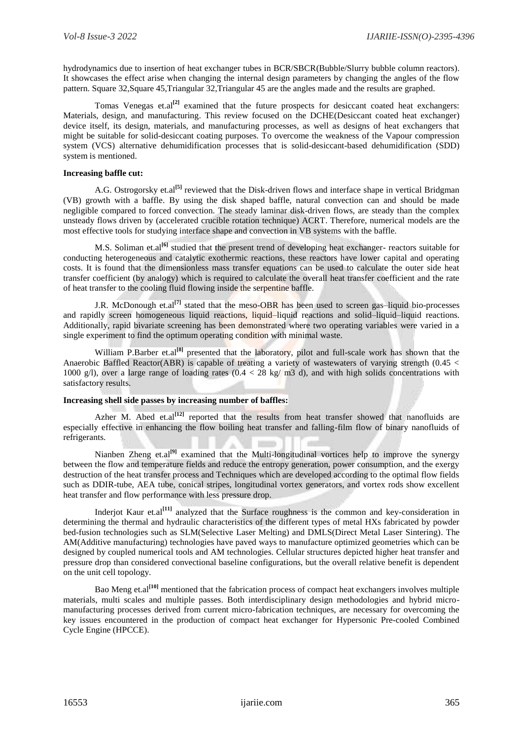hydrodynamics due to insertion of heat exchanger tubes in BCR/SBCR(Bubble/Slurry bubble column reactors). It showcases the effect arise when changing the internal design parameters by changing the angles of the flow pattern. Square 32,Square 45,Triangular 32,Triangular 45 are the angles made and the results are graphed.

Tomas Venegas et.al<sup>[2]</sup> examined that the future prospects for desiccant coated heat exchangers: Materials, design, and manufacturing. This review focused on the DCHE(Desiccant coated heat exchanger) device itself, its design, materials, and manufacturing processes, as well as designs of heat exchangers that might be suitable for solid-desiccant coating purposes. To overcome the weakness of the Vapour compression system (VCS) alternative dehumidification processes that is solid-desiccant-based dehumidification (SDD) system is mentioned.

#### **Increasing baffle cut:**

A.G. Ostrogorsky et.al**[5]** reviewed that the Disk-driven flows and interface shape in vertical Bridgman (VB) growth with a baffle. By using the disk shaped baffle, natural convection can and should be made negligible compared to forced convection. The steady laminar disk-driven flows, are steady than the complex unsteady flows driven by (accelerated crucible rotation technique) ACRT. Therefore, numerical models are the most effective tools for studying interface shape and convection in VB systems with the baffle.

M.S. Soliman et.al<sup>[6]</sup> studied that the present trend of developing heat exchanger- reactors suitable for conducting heterogeneous and catalytic exothermic reactions, these reactors have lower capital and operating costs. It is found that the dimensionless mass transfer equations can be used to calculate the outer side heat transfer coefficient (by analogy) which is required to calculate the overall heat transfer coefficient and the rate of heat transfer to the cooling fluid flowing inside the serpentine baffle.

J.R. McDonough et.al**[7]** stated that the meso-OBR has been used to screen gas–liquid bio-processes and rapidly screen homogeneous liquid reactions, liquid–liquid reactions and solid–liquid–liquid reactions. Additionally, rapid bivariate screening has been demonstrated where two operating variables were varied in a single experiment to find the optimum operating condition with minimal waste.

William P.Barber et.al<sup>[8]</sup> presented that the laboratory, pilot and full-scale work has shown that the Anaerobic Baffled Reactor(ABR) is capable of treating a variety of wastewaters of varying strength (0.45 < 1000 g/l), over a large range of loading rates (0.4 < 28 kg/ m3 d), and with high solids concentrations with satisfactory results.

#### **Increasing shell side passes by increasing number of baffles:**

Azher M. Abed et.al<sup>[12]</sup> reported that the results from heat transfer showed that nanofluids are especially effective in enhancing the flow boiling heat transfer and falling-film flow of binary nanofluids of refrigerants.

Nianben Zheng et.al<sup>[9]</sup> examined that the Multi-longitudinal vortices help to improve the synergy between the flow and temperature fields and reduce the entropy generation, power consumption, and the exergy destruction of the heat transfer process and Techniques which are developed according to the optimal flow fields such as DDIR-tube, AEA tube, conical stripes, longitudinal vortex generators, and vortex rods show excellent heat transfer and flow performance with less pressure drop.

Inderiot Kaur et.al<sup>[11]</sup> analyzed that the Surface roughness is the common and key-consideration in determining the thermal and hydraulic characteristics of the different types of metal HXs fabricated by powder bed-fusion technologies such as SLM(Selective Laser Melting) and DMLS(Direct Metal Laser Sintering). The AM(Additive manufacturing) technologies have paved ways to manufacture optimized geometries which can be designed by coupled numerical tools and AM technologies. Cellular structures depicted higher heat transfer and pressure drop than considered convectional baseline configurations, but the overall relative benefit is dependent on the unit cell topology.

Bao Meng et.al**[10]** mentioned that the fabrication process of compact heat exchangers involves multiple materials, multi scales and multiple passes. Both interdisciplinary design methodologies and hybrid micromanufacturing processes derived from current micro-fabrication techniques, are necessary for overcoming the key issues encountered in the production of compact heat exchanger for Hypersonic Pre-cooled Combined Cycle Engine (HPCCE).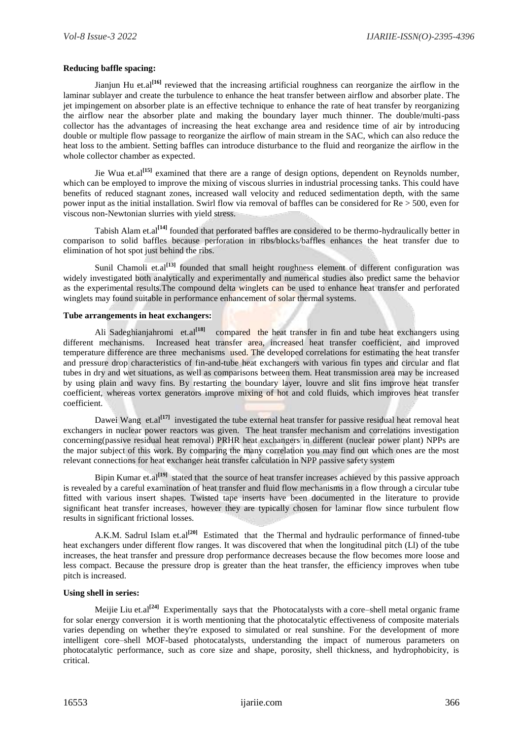## **Reducing baffle spacing:**

Jianjun Hu et.al<sup>[16]</sup> reviewed that the increasing artificial roughness can reorganize the airflow in the laminar sublayer and create the turbulence to enhance the heat transfer between airflow and absorber plate. The jet impingement on absorber plate is an effective technique to enhance the rate of heat transfer by reorganizing the airflow near the absorber plate and making the boundary layer much thinner. The double/multi-pass collector has the advantages of increasing the heat exchange area and residence time of air by introducing double or multiple flow passage to reorganize the airflow of main stream in the SAC, which can also reduce the heat loss to the ambient. Setting baffles can introduce disturbance to the fluid and reorganize the airflow in the whole collector chamber as expected.

Jie Wua et.al<sup>[15]</sup> examined that there are a range of design options, dependent on Reynolds number, which can be employed to improve the mixing of viscous slurries in industrial processing tanks. This could have benefits of reduced stagnant zones, increased wall velocity and reduced sedimentation depth, with the same power input as the initial installation. Swirl flow via removal of baffles can be considered for Re > 500, even for viscous non-Newtonian slurries with yield stress.

Tabish Alam et.al**[14]** founded that perforated baffles are considered to be thermo-hydraulically better in comparison to solid baffles because perforation in ribs/blocks/baffles enhances the heat transfer due to elimination of hot spot just behind the ribs.

Sunil Chamoli et.al<sup>[13]</sup> founded that small height roughness element of different configuration was widely investigated both analytically and experimentally and numerical studies also predict same the behavior as the experimental results.The compound delta winglets can be used to enhance heat transfer and perforated winglets may found suitable in performance enhancement of solar thermal systems.

#### **Tube arrangements in heat exchangers:**

Ali Sadeghianjahromi et.al<sup>[18]</sup> compared the heat transfer in fin and tube heat exchangers using different mechanisms. Increased heat transfer area, increased heat transfer coefficient, and improved temperature difference are three mechanisms used. The developed correlations for estimating the heat transfer and pressure drop characteristics of fin-and-tube heat exchangers with various fin types and circular and flat tubes in dry and wet situations, as well as comparisons between them. Heat transmission area may be increased by using plain and wavy fins. By restarting the boundary layer, louvre and slit fins improve heat transfer coefficient, whereas vortex generators improve mixing of hot and cold fluids, which improves heat transfer coefficient.

Dawei Wang et.al<sup>[17]</sup> investigated the tube external heat transfer for passive residual heat removal heat exchangers in nuclear power reactors was given. The heat transfer mechanism and correlations investigation concerning(passive residual heat removal) PRHR heat exchangers in different (nuclear power plant) NPPs are the major subject of this work. By comparing the many correlation you may find out which ones are the most relevant connections for heat exchanger heat transfer calculation in NPP passive safety system

Bipin Kumar et.al<sup>[19]</sup> stated that the source of heat transfer increases achieved by this passive approach is revealed by a careful examination of heat transfer and fluid flow mechanisms in a flow through a circular tube fitted with various insert shapes. Twisted tape inserts have been documented in the literature to provide significant heat transfer increases, however they are typically chosen for laminar flow since turbulent flow results in significant frictional losses.

A.K.M. Sadrul Islam et.al<sup>[20]</sup> Estimated that the Thermal and hydraulic performance of finned-tube heat exchangers under different flow ranges. It was discovered that when the longitudinal pitch (Ll) of the tube increases, the heat transfer and pressure drop performance decreases because the flow becomes more loose and less compact. Because the pressure drop is greater than the heat transfer, the efficiency improves when tube pitch is increased.

## **Using shell in series:**

Meijie Liu et.al<sup>[24]</sup> Experimentally says that the Photocatalysts with a core–shell metal organic frame for solar energy conversion it is worth mentioning that the photocatalytic effectiveness of composite materials varies depending on whether they're exposed to simulated or real sunshine. For the development of more intelligent core–shell MOF-based photocatalysts, understanding the impact of numerous parameters on photocatalytic performance, such as core size and shape, porosity, shell thickness, and hydrophobicity, is critical.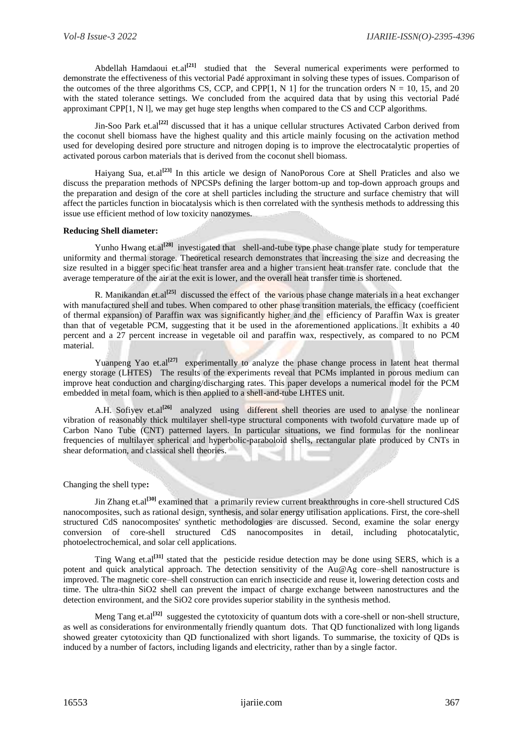Abdellah Hamdaoui et.al<sup>[21]</sup> studied that the Several numerical experiments were performed to demonstrate the effectiveness of this vectorial Padé approximant in solving these types of issues. Comparison of the outcomes of the three algorithms CS, CCP, and CPP[1, N 1] for the truncation orders  $N = 10$ , 15, and 20 with the stated tolerance settings. We concluded from the acquired data that by using this vectorial Padé approximant CPP[1, N l], we may get huge step lengths when compared to the CS and CCP algorithms.

Jin-Soo Park et.al**[22]** discussed that it has a unique cellular structures Activated Carbon derived from the coconut shell biomass have the highest quality and this article mainly focusing on the activation method used for developing desired pore structure and nitrogen doping is to improve the electrocatalytic properties of activated porous carbon materials that is derived from the coconut shell biomass.

Haiyang Sua, et.al<sup>[23]</sup> In this article we design of NanoPorous Core at Shell Praticles and also we discuss the preparation methods of NPCSPs defining the larger bottom-up and top-down approach groups and the preparation and design of the core at shell particles including the structure and surface chemistry that will affect the particles function in biocatalysis which is then correlated with the synthesis methods to addressing this issue use efficient method of low toxicity nanozymes.

## **Reducing Shell diameter:**

Yunho Hwang et.al<sup>[28]</sup> investigated that shell-and-tube type phase change plate study for temperature uniformity and thermal storage. Theoretical research demonstrates that increasing the size and decreasing the size resulted in a bigger specific heat transfer area and a higher transient heat transfer rate. conclude that the average temperature of the air at the exit is lower, and the overall heat transfer time is shortened.

R. Manikandan et.al<sup>[25]</sup> discussed the effect of the various phase change materials in a heat exchanger with manufactured shell and tubes. When compared to other phase transition materials, the efficacy (coefficient of thermal expansion) of Paraffin wax was significantly higher and the efficiency of Paraffin Wax is greater than that of vegetable PCM, suggesting that it be used in the aforementioned applications. It exhibits a 40 percent and a 27 percent increase in vegetable oil and paraffin wax, respectively, as compared to no PCM material.

Yuanpeng Yao et.al<sup>[27]</sup> experimentally to analyze the phase change process in latent heat thermal energy storage (LHTES) The results of the experiments reveal that PCMs implanted in porous medium can improve heat conduction and charging/discharging rates. This paper develops a numerical model for the PCM embedded in metal foam, which is then applied to a shell-and-tube LHTES unit.

A.H. Sofiyev et.al<sup>[26]</sup> analyzed using different shell theories are used to analyse the nonlinear vibration of reasonably thick multilayer shell-type structural components with twofold curvature made up of Carbon Nano Tube (CNT) patterned layers. In particular situations, we find formulas for the nonlinear frequencies of multilayer spherical and hyperbolic-paraboloid shells, rectangular plate produced by CNTs in shear deformation, and classical shell theories.

## Changing the shell type**:**

Jin Zhang et.al<sup>[30]</sup> examined that a primarily review current breakthroughs in core-shell structured CdS nanocomposites, such as rational design, synthesis, and solar energy utilisation applications. First, the core-shell structured CdS nanocomposites' synthetic methodologies are discussed. Second, examine the solar energy conversion of core-shell structured CdS nanocomposites in detail, including photocatalytic, photoelectrochemical, and solar cell applications.

Ting Wang et.al**[31]** stated that the pesticide residue detection may be done using SERS, which is a potent and quick analytical approach. The detection sensitivity of the Au@Ag core–shell nanostructure is improved. The magnetic core–shell construction can enrich insecticide and reuse it, lowering detection costs and time. The ultra-thin SiO2 shell can prevent the impact of charge exchange between nanostructures and the detection environment, and the SiO2 core provides superior stability in the synthesis method.

Meng Tang et.al<sup>[32]</sup> suggested the cytotoxicity of quantum dots with a core-shell or non-shell structure, as well as considerations for environmentally friendly quantum dots. That QD functionalized with long ligands showed greater cytotoxicity than QD functionalized with short ligands. To summarise, the toxicity of QDs is induced by a number of factors, including ligands and electricity, rather than by a single factor.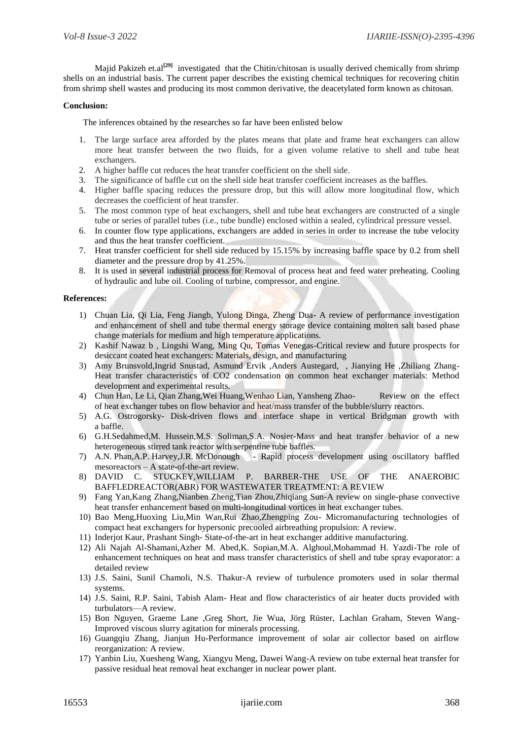Majid Pakizeh et.al<sup>[29]</sup> investigated that the Chitin/chitosan is usually derived chemically from shrimp shells on an industrial basis. The current paper describes the existing chemical techniques for recovering chitin from shrimp shell wastes and producing its most common derivative, the deacetylated form known as chitosan.

## **Conclusion:**

The inferences obtained by the researches so far have been enlisted below

- 1. The large surface area afforded by the plates means that plate and frame heat exchangers can allow more heat transfer between the two fluids, for a given volume relative to shell and tube heat exchangers.
- 2. A higher baffle cut reduces the heat transfer coefficient on the shell side.
- 3. The significance of baffle cut on the shell side heat transfer coefficient increases as the baffles.
- 4. Higher baffle spacing reduces the pressure drop, but this will allow more longitudinal flow, which decreases the coefficient of heat transfer.
- 5. The most common type of heat exchangers, shell and tube heat exchangers are constructed of a single tube or series of parallel tubes (i.e., tube bundle) enclosed within a sealed, cylindrical pressure vessel.
- 6. In counter flow type applications, exchangers are added in series in order to increase the tube velocity and thus the heat transfer coefficient.
- 7. Heat transfer coefficient for shell side reduced by 15.15% by increasing baffle space by 0.2 from shell diameter and the pressure drop by 41.25%.
- 8. It is used in several industrial process for Removal of process heat and feed water preheating. Cooling of hydraulic and lube oil. Cooling of turbine, compressor, and engine.

## **References:**

- 1) Chuan Lia, Qi Lia, Feng Jiangb, Yulong Dinga, Zheng Dua- A review of performance investigation and enhancement of shell and tube thermal energy storage device containing molten salt based phase change materials for medium and high temperature applications.
- 2) Kashif Nawaz b , Lingshi Wang, Ming Qu, Tomas Venegas-Critical review and future prospects for desiccant coated heat exchangers: Materials, design, and manufacturing
- 3) Amy Brunsvold,Ingrid Snustad, Asmund Ervik ,Anders Austegard, , Jianying He ,Zhiliang Zhang-Heat transfer characteristics of CO2 condensation on common heat exchanger materials: Method development and experimental results.
- 4) Chun Han, Le Li, Qian Zhang,Wei Huang,Wenhao Lian, Yansheng Zhao- Review on the effect of heat exchanger tubes on flow behavior and heat/mass transfer of the bubble/slurry reactors.
- 5) A.G. Ostrogorsky- Disk-driven flows and interface shape in vertical Bridgman growth with a baffle.
- 6) G.H.Sedahmed,M. Hussein,M.S. Soliman,S.A. Nosier-Mass and heat transfer behavior of a new heterogeneous stirred tank reactor with serpentine tube baffles.
- 7) A.N. Phan,A.P. Harvey,J.R. McDonough Rapid process development using oscillatory baffled mesoreactors – A state-of-the-art review.
- 8) DAVID C. STUCKEY,WILLIAM P. BARBER-THE USE OF THE ANAEROBIC BAFFLEDREACTOR(ABR) FOR WASTEWATER TREATMENT: A REVIEW
- 9) Fang Yan,Kang Zhang,Nianben Zheng,Tian Zhou,Zhiqiang Sun-A review on single-phase convective heat transfer enhancement based on multi-longitudinal vortices in heat exchanger tubes.
- 10) Bao Meng,Huoxing Liu,Min Wan,Rui Zhao,Zhengping Zou- Micromanufacturing technologies of compact heat exchangers for hypersonic precooled airbreathing propulsion: A review.
- 11) Inderjot Kaur, Prashant Singh- State-of-the-art in heat exchanger additive manufacturing.
- 12) Ali Najah Al-Shamani,Azher M. Abed,K. Sopian,M.A. Alghoul,Mohammad H. Yazdi-The role of enhancement techniques on heat and mass transfer characteristics of shell and tube spray evaporator: a detailed review
- 13) J.S. Saini, Sunil Chamoli, N.S. Thakur-A review of turbulence promoters used in solar thermal systems.
- 14) J.S. Saini, R.P. Saini, Tabish Alam- Heat and flow characteristics of air heater ducts provided with turbulators—A review.
- 15) Bon Nguyen, Graeme Lane ,Greg Short, Jie Wua, Jörg Rüster, Lachlan Graham, Steven Wang-Improved viscous slurry agitation for minerals processing.
- 16) Guangqiu Zhang, Jianjun Hu-Performance improvement of solar air collector based on airflow reorganization: A review.
- 17) Yanbin Liu, Xuesheng Wang, Xiangyu Meng, Dawei Wang-A review on tube external heat transfer for passive residual heat removal heat exchanger in nuclear power plant.